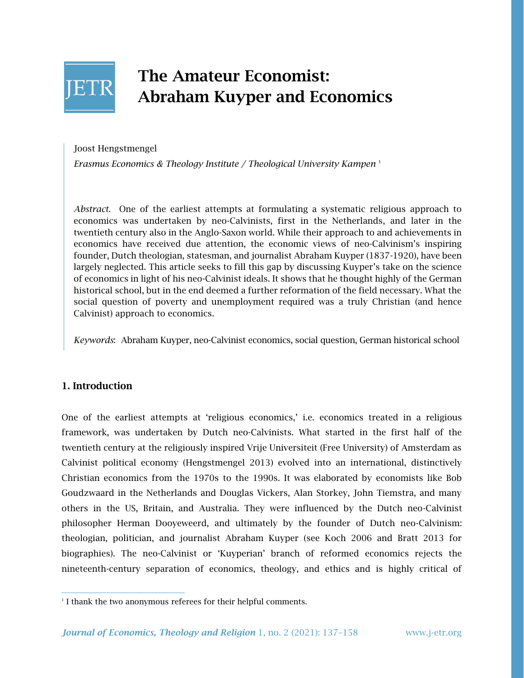

# The Amateur Economist: Abraham Kuyper and Economics

Joost Hengstmengel

*Erasmus Economics & Theology Institute / Theological University Kampen* <sup>1</sup>

*Abstract*. One of the earliest attempts at formulating a systematic religious approach to economics was undertaken by neo-Calvinists, first in the Netherlands, and later in the twentieth century also in the Anglo-Saxon world. While their approach to and achievements in economics have received due attention, the economic views of neo-Calvinism's inspiring founder, Dutch theologian, statesman, and journalist Abraham Kuyper (1837-1920), have been largely neglected. This article seeks to fill this gap by discussing Kuyper's take on the science of economics in light of his neo-Calvinist ideals. It shows that he thought highly of the German historical school, but in the end deemed a further reformation of the field necessary. What the social question of poverty and unemployment required was a truly Christian (and hence Calvinist) approach to economics.

*Keywords*: Abraham Kuyper, neo-Calvinist economics, social question, German historical school

### 1. Introduction

One of the earliest attempts at 'religious economics,' i.e. economics treated in a religious framework, was undertaken by Dutch neo-Calvinists. What started in the first half of the twentieth century at the religiously inspired Vrije Universiteit (Free University) of Amsterdam as Calvinist political economy (Hengstmengel 2013) evolved into an international, distinctively Christian economics from the 1970s to the 1990s. It was elaborated by economists like Bob Goudzwaard in the Netherlands and Douglas Vickers, Alan Storkey, John Tiemstra, and many others in the US, Britain, and Australia. They were influenced by the Dutch neo-Calvinist philosopher Herman Dooyeweerd, and ultimately by the founder of Dutch neo-Calvinism: theologian, politician, and journalist Abraham Kuyper (see Koch 2006 and Bratt 2013 for biographies). The neo-Calvinist or 'Kuyperian' branch of reformed economics rejects the nineteenth-century separation of economics, theology, and ethics and is highly critical of

<sup>&</sup>lt;sup>1</sup> I thank the two anonymous referees for their helpful comments.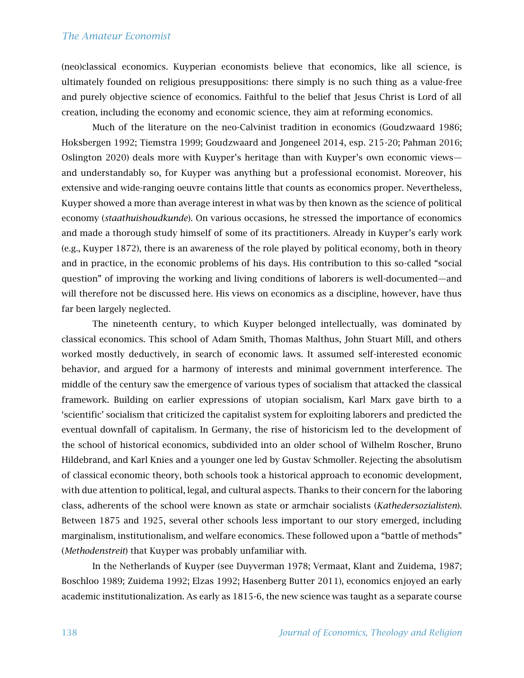(neo)classical economics. Kuyperian economists believe that economics, like all science, is ultimately founded on religious presuppositions: there simply is no such thing as a value-free and purely objective science of economics. Faithful to the belief that Jesus Christ is Lord of all creation, including the economy and economic science, they aim at reforming economics.

Much of the literature on the neo-Calvinist tradition in economics (Goudzwaard 1986; Hoksbergen 1992; Tiemstra 1999; Goudzwaard and Jongeneel 2014, esp. 215-20; Pahman 2016; Oslington 2020) deals more with Kuyper's heritage than with Kuyper's own economic views and understandably so, for Kuyper was anything but a professional economist. Moreover, his extensive and wide-ranging oeuvre contains little that counts as economics proper. Nevertheless, Kuyper showed a more than average interest in what was by then known as the science of political economy (*staathuishoudkunde*). On various occasions, he stressed the importance of economics and made a thorough study himself of some of its practitioners. Already in Kuyper's early work (e.g., Kuyper 1872), there is an awareness of the role played by political economy, both in theory and in practice, in the economic problems of his days. His contribution to this so-called "social question" of improving the working and living conditions of laborers is well-documented—and will therefore not be discussed here. His views on economics as a discipline, however, have thus far been largely neglected.

The nineteenth century, to which Kuyper belonged intellectually, was dominated by classical economics. This school of Adam Smith, Thomas Malthus, John Stuart Mill, and others worked mostly deductively, in search of economic laws. It assumed self-interested economic behavior, and argued for a harmony of interests and minimal government interference. The middle of the century saw the emergence of various types of socialism that attacked the classical framework. Building on earlier expressions of utopian socialism, Karl Marx gave birth to a 'scientific' socialism that criticized the capitalist system for exploiting laborers and predicted the eventual downfall of capitalism. In Germany, the rise of historicism led to the development of the school of historical economics, subdivided into an older school of Wilhelm Roscher, Bruno Hildebrand, and Karl Knies and a younger one led by Gustav Schmoller. Rejecting the absolutism of classical economic theory, both schools took a historical approach to economic development, with due attention to political, legal, and cultural aspects. Thanks to their concern for the laboring class, adherents of the school were known as state or armchair socialists (*Kathedersozialisten*). Between 1875 and 1925, several other schools less important to our story emerged, including marginalism, institutionalism, and welfare economics. These followed upon a "battle of methods" (*Methodenstreit*) that Kuyper was probably unfamiliar with.

In the Netherlands of Kuyper (see Duyverman 1978; Vermaat, Klant and Zuidema, 1987; Boschloo 1989; Zuidema 1992; Elzas 1992; Hasenberg Butter 2011), economics enjoyed an early academic institutionalization. As early as 1815-6, the new science was taught as a separate course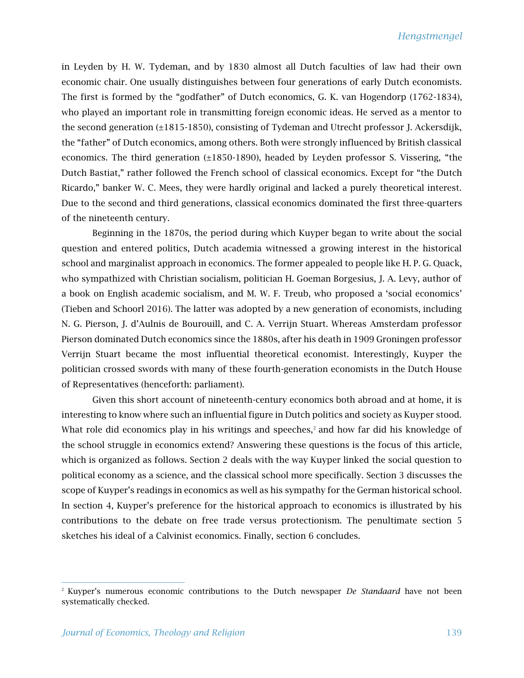in Leyden by H. W. Tydeman, and by 1830 almost all Dutch faculties of law had their own economic chair. One usually distinguishes between four generations of early Dutch economists. The first is formed by the "godfather" of Dutch economics, G. K. van Hogendorp (1762-1834), who played an important role in transmitting foreign economic ideas. He served as a mentor to the second generation (±1815-1850), consisting of Tydeman and Utrecht professor J. Ackersdijk, the "father" of Dutch economics, among others. Both were strongly influenced by British classical economics. The third generation (±1850-1890), headed by Leyden professor S. Vissering, "the Dutch Bastiat," rather followed the French school of classical economics. Except for "the Dutch Ricardo," banker W. C. Mees, they were hardly original and lacked a purely theoretical interest. Due to the second and third generations, classical economics dominated the first three-quarters of the nineteenth century.

Beginning in the 1870s, the period during which Kuyper began to write about the social question and entered politics, Dutch academia witnessed a growing interest in the historical school and marginalist approach in economics. The former appealed to people like H. P. G. Quack, who sympathized with Christian socialism, politician H. Goeman Borgesius, J. A. Levy, author of a book on English academic socialism, and M. W. F. Treub, who proposed a 'social economics' (Tieben and Schoorl 2016). The latter was adopted by a new generation of economists, including N. G. Pierson, J. d'Aulnis de Bourouill, and C. A. Verrijn Stuart. Whereas Amsterdam professor Pierson dominated Dutch economics since the 1880s, after his death in 1909 Groningen professor Verrijn Stuart became the most influential theoretical economist. Interestingly, Kuyper the politician crossed swords with many of these fourth-generation economists in the Dutch House of Representatives (henceforth: parliament).

Given this short account of nineteenth-century economics both abroad and at home, it is interesting to know where such an influential figure in Dutch politics and society as Kuyper stood. What role did economics play in his writings and speeches,<sup>2</sup> and how far did his knowledge of the school struggle in economics extend? Answering these questions is the focus of this article, which is organized as follows. Section 2 deals with the way Kuyper linked the social question to political economy as a science, and the classical school more specifically. Section 3 discusses the scope of Kuyper's readings in economics as well as his sympathy for the German historical school. In section 4, Kuyper's preference for the historical approach to economics is illustrated by his contributions to the debate on free trade versus protectionism. The penultimate section 5 sketches his ideal of a Calvinist economics. Finally, section 6 concludes.

<sup>2</sup> Kuyper's numerous economic contributions to the Dutch newspaper *De Standaard* have not been systematically checked.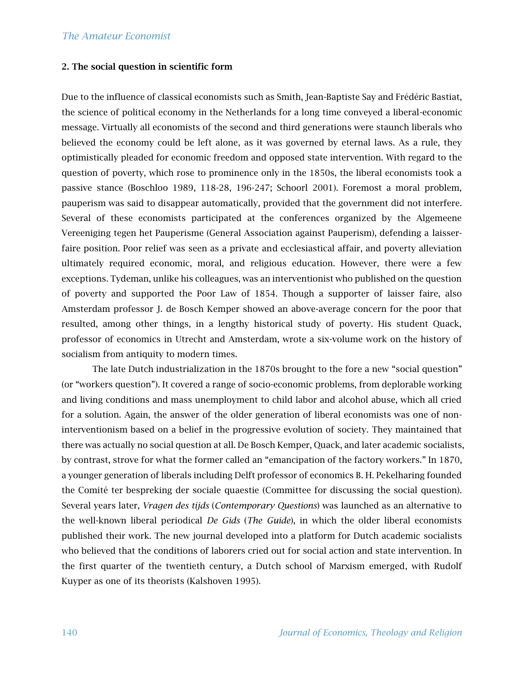#### 2. The social question in scientific form

Due to the influence of classical economists such as Smith, Jean-Baptiste Say and Frédéric Bastiat, the science of political economy in the Netherlands for a long time conveyed a liberal-economic message. Virtually all economists of the second and third generations were staunch liberals who believed the economy could be left alone, as it was governed by eternal laws. As a rule, they optimistically pleaded for economic freedom and opposed state intervention. With regard to the question of poverty, which rose to prominence only in the 1850s, the liberal economists took a passive stance (Boschloo 1989, 118-28, 196-247; Schoorl 2001). Foremost a moral problem, pauperism was said to disappear automatically, provided that the government did not interfere. Several of these economists participated at the conferences organized by the Algemeene Vereeniging tegen het Pauperisme (General Association against Pauperism), defending a laisserfaire position. Poor relief was seen as a private and ecclesiastical affair, and poverty alleviation ultimately required economic, moral, and religious education. However, there were a few exceptions. Tydeman, unlike his colleagues, was an interventionist who published on the question of poverty and supported the Poor Law of 1854. Though a supporter of laisser faire, also Amsterdam professor J. de Bosch Kemper showed an above-average concern for the poor that resulted, among other things, in a lengthy historical study of poverty. His student Quack, professor of economics in Utrecht and Amsterdam, wrote a six-volume work on the history of socialism from antiquity to modern times.

The late Dutch industrialization in the 1870s brought to the fore a new "social question" (or "workers question"). It covered a range of socio-economic problems, from deplorable working and living conditions and mass unemployment to child labor and alcohol abuse, which all cried for a solution. Again, the answer of the older generation of liberal economists was one of noninterventionism based on a belief in the progressive evolution of society. They maintained that there was actually no social question at all. De Bosch Kemper, Quack, and later academic socialists, by contrast, strove for what the former called an "emancipation of the factory workers." In 1870, a younger generation of liberals including Delft professor of economics B. H. Pekelharing founded the Comité ter bespreking der sociale quaestie (Committee for discussing the social question). Several years later, *Vragen des tijds* (*Contemporary Questions*) was launched as an alternative to the well-known liberal periodical *De Gids* (*The Guide*), in which the older liberal economists published their work. The new journal developed into a platform for Dutch academic socialists who believed that the conditions of laborers cried out for social action and state intervention. In the first quarter of the twentieth century, a Dutch school of Marxism emerged, with Rudolf Kuyper as one of its theorists (Kalshoven 1995).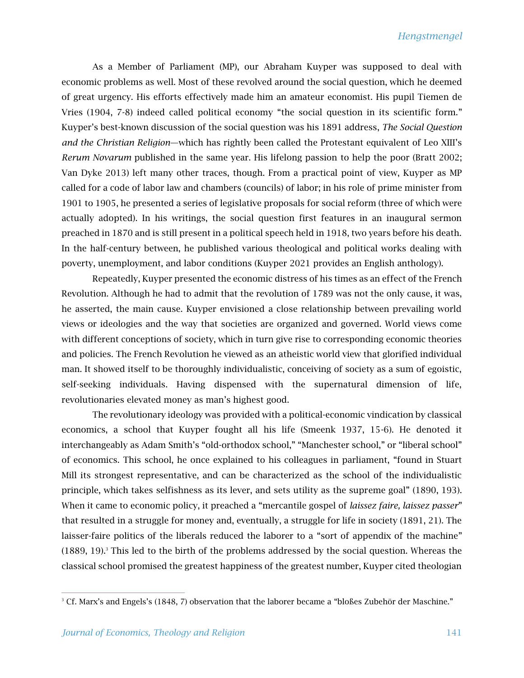As a Member of Parliament (MP), our Abraham Kuyper was supposed to deal with economic problems as well. Most of these revolved around the social question, which he deemed of great urgency. His efforts effectively made him an amateur economist. His pupil Tiemen de Vries (1904, 7-8) indeed called political economy "the social question in its scientific form." Kuyper's best-known discussion of the social question was his 1891 address, *The Social Question and the Christian Religion*—which has rightly been called the Protestant equivalent of Leo XIII's *Rerum Novarum* published in the same year. His lifelong passion to help the poor (Bratt 2002; Van Dyke 2013) left many other traces, though. From a practical point of view, Kuyper as MP called for a code of labor law and chambers (councils) of labor; in his role of prime minister from 1901 to 1905, he presented a series of legislative proposals for social reform (three of which were actually adopted). In his writings, the social question first features in an inaugural sermon preached in 1870 and is still present in a political speech held in 1918, two years before his death. In the half-century between, he published various theological and political works dealing with poverty, unemployment, and labor conditions (Kuyper 2021 provides an English anthology).

Repeatedly, Kuyper presented the economic distress of his times as an effect of the French Revolution. Although he had to admit that the revolution of 1789 was not the only cause, it was, he asserted, the main cause. Kuyper envisioned a close relationship between prevailing world views or ideologies and the way that societies are organized and governed. World views come with different conceptions of society, which in turn give rise to corresponding economic theories and policies. The French Revolution he viewed as an atheistic world view that glorified individual man. It showed itself to be thoroughly individualistic, conceiving of society as a sum of egoistic, self-seeking individuals. Having dispensed with the supernatural dimension of life, revolutionaries elevated money as man's highest good.

The revolutionary ideology was provided with a political-economic vindication by classical economics, a school that Kuyper fought all his life (Smeenk 1937, 15-6). He denoted it interchangeably as Adam Smith's "old-orthodox school," "Manchester school," or "liberal school" of economics. This school, he once explained to his colleagues in parliament, "found in Stuart Mill its strongest representative, and can be characterized as the school of the individualistic principle, which takes selfishness as its lever, and sets utility as the supreme goal" (1890, 193). When it came to economic policy, it preached a "mercantile gospel of *laissez faire, laissez passer*" that resulted in a struggle for money and, eventually, a struggle for life in society (1891, 21). The laisser-faire politics of the liberals reduced the laborer to a "sort of appendix of the machine"  $(1889, 19)^3$  This led to the birth of the problems addressed by the social question. Whereas the classical school promised the greatest happiness of the greatest number, Kuyper cited theologian

<sup>&</sup>lt;sup>3</sup> Cf. Marx's and Engels's (1848, 7) observation that the laborer became a "bloßes Zubehör der Maschine."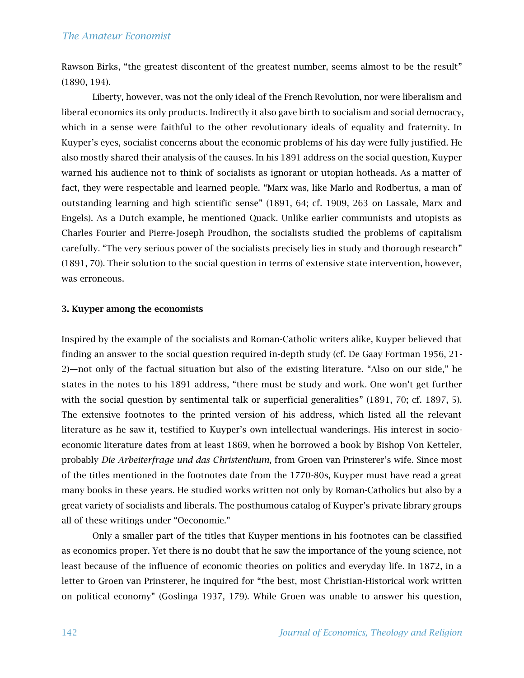Rawson Birks, "the greatest discontent of the greatest number, seems almost to be the result" (1890, 194).

Liberty, however, was not the only ideal of the French Revolution, nor were liberalism and liberal economics its only products. Indirectly it also gave birth to socialism and social democracy, which in a sense were faithful to the other revolutionary ideals of equality and fraternity. In Kuyper's eyes, socialist concerns about the economic problems of his day were fully justified. He also mostly shared their analysis of the causes. In his 1891 address on the social question, Kuyper warned his audience not to think of socialists as ignorant or utopian hotheads. As a matter of fact, they were respectable and learned people. "Marx was, like Marlo and Rodbertus, a man of outstanding learning and high scientific sense" (1891, 64; cf. 1909, 263 on Lassale, Marx and Engels). As a Dutch example, he mentioned Quack. Unlike earlier communists and utopists as Charles Fourier and Pierre-Joseph Proudhon, the socialists studied the problems of capitalism carefully. "The very serious power of the socialists precisely lies in study and thorough research" (1891, 70). Their solution to the social question in terms of extensive state intervention, however, was erroneous.

#### 3. Kuyper among the economists

Inspired by the example of the socialists and Roman-Catholic writers alike, Kuyper believed that finding an answer to the social question required in-depth study (cf. De Gaay Fortman 1956, 21- 2)—not only of the factual situation but also of the existing literature. "Also on our side," he states in the notes to his 1891 address, "there must be study and work. One won't get further with the social question by sentimental talk or superficial generalities" (1891, 70; cf. 1897, 5). The extensive footnotes to the printed version of his address, which listed all the relevant literature as he saw it, testified to Kuyper's own intellectual wanderings. His interest in socioeconomic literature dates from at least 1869, when he borrowed a book by Bishop Von Ketteler, probably *Die Arbeiterfrage und das Christenthum*, from Groen van Prinsterer's wife. Since most of the titles mentioned in the footnotes date from the 1770-80s, Kuyper must have read a great many books in these years. He studied works written not only by Roman-Catholics but also by a great variety of socialists and liberals. The posthumous catalog of Kuyper's private library groups all of these writings under "Oeconomie."

Only a smaller part of the titles that Kuyper mentions in his footnotes can be classified as economics proper. Yet there is no doubt that he saw the importance of the young science, not least because of the influence of economic theories on politics and everyday life. In 1872, in a letter to Groen van Prinsterer, he inquired for "the best, most Christian-Historical work written on political economy" (Goslinga 1937, 179). While Groen was unable to answer his question,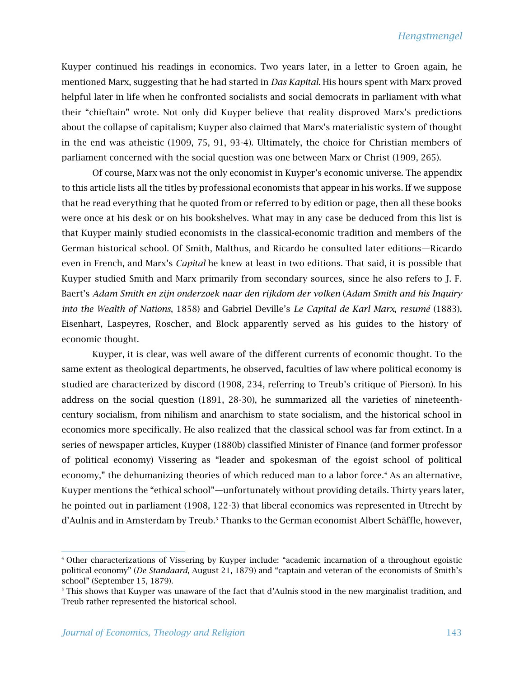Kuyper continued his readings in economics. Two years later, in a letter to Groen again, he mentioned Marx, suggesting that he had started in *Das Kapital.* His hours spent with Marx proved helpful later in life when he confronted socialists and social democrats in parliament with what their "chieftain" wrote. Not only did Kuyper believe that reality disproved Marx's predictions about the collapse of capitalism; Kuyper also claimed that Marx's materialistic system of thought in the end was atheistic (1909, 75, 91, 93-4). Ultimately, the choice for Christian members of parliament concerned with the social question was one between Marx or Christ (1909, 265).

Of course, Marx was not the only economist in Kuyper's economic universe. The appendix to this article lists all the titles by professional economists that appear in his works. If we suppose that he read everything that he quoted from or referred to by edition or page, then all these books were once at his desk or on his bookshelves. What may in any case be deduced from this list is that Kuyper mainly studied economists in the classical-economic tradition and members of the German historical school. Of Smith, Malthus, and Ricardo he consulted later editions—Ricardo even in French, and Marx's *Capital* he knew at least in two editions. That said, it is possible that Kuyper studied Smith and Marx primarily from secondary sources, since he also refers to J. F. Baert's *Adam Smith en zijn onderzoek naar den rijkdom der volken* (*Adam Smith and his Inquiry into the Wealth of Nations*, 1858) and Gabriel Deville's *Le Capital de Karl Marx, resumé* (1883). Eisenhart, Laspeyres, Roscher, and Block apparently served as his guides to the history of economic thought.

Kuyper, it is clear, was well aware of the different currents of economic thought. To the same extent as theological departments, he observed, faculties of law where political economy is studied are characterized by discord (1908, 234, referring to Treub's critique of Pierson). In his address on the social question (1891, 28-30), he summarized all the varieties of nineteenthcentury socialism, from nihilism and anarchism to state socialism, and the historical school in economics more specifically. He also realized that the classical school was far from extinct. In a series of newspaper articles, Kuyper (1880b) classified Minister of Finance (and former professor of political economy) Vissering as "leader and spokesman of the egoist school of political economy," the dehumanizing theories of which reduced man to a labor force.<sup>4</sup> As an alternative, Kuyper mentions the "ethical school"—unfortunately without providing details. Thirty years later, he pointed out in parliament (1908, 122-3) that liberal economics was represented in Utrecht by d'Aulnis and in Amsterdam by Treub.<sup>5</sup> Thanks to the German economist Albert Schäffle, however,

<sup>4</sup> Other characterizations of Vissering by Kuyper include: "academic incarnation of a throughout egoistic political economy" (*De Standaard*, August 21, 1879) and "captain and veteran of the economists of Smith's school" (September 15, 1879).

<sup>5</sup> This shows that Kuyper was unaware of the fact that d'Aulnis stood in the new marginalist tradition, and Treub rather represented the historical school.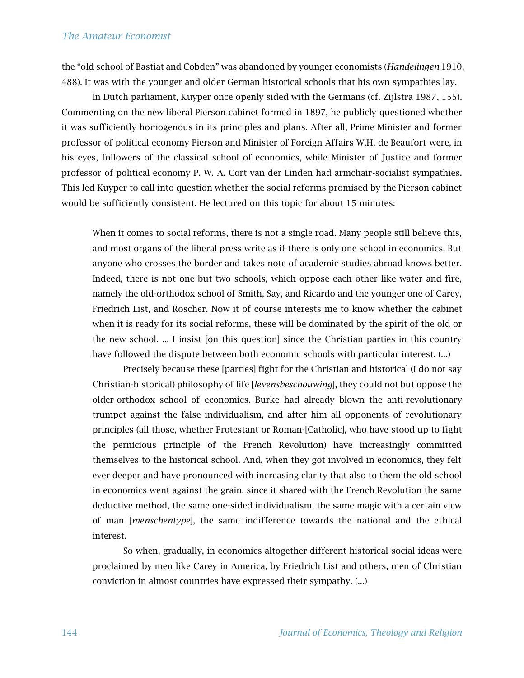the "old school of Bastiat and Cobden" was abandoned by younger economists (*Handelingen* 1910, 488). It was with the younger and older German historical schools that his own sympathies lay.

In Dutch parliament, Kuyper once openly sided with the Germans (cf. Zijlstra 1987, 155). Commenting on the new liberal Pierson cabinet formed in 1897, he publicly questioned whether it was sufficiently homogenous in its principles and plans. After all, Prime Minister and former professor of political economy Pierson and Minister of Foreign Affairs W.H. de Beaufort were, in his eyes, followers of the classical school of economics, while Minister of Justice and former professor of political economy P. W. A. Cort van der Linden had armchair-socialist sympathies. This led Kuyper to call into question whether the social reforms promised by the Pierson cabinet would be sufficiently consistent. He lectured on this topic for about 15 minutes:

When it comes to social reforms, there is not a single road. Many people still believe this, and most organs of the liberal press write as if there is only one school in economics. But anyone who crosses the border and takes note of academic studies abroad knows better. Indeed, there is not one but two schools, which oppose each other like water and fire, namely the old-orthodox school of Smith, Say, and Ricardo and the younger one of Carey, Friedrich List, and Roscher. Now it of course interests me to know whether the cabinet when it is ready for its social reforms, these will be dominated by the spirit of the old or the new school. ... I insist [on this question] since the Christian parties in this country have followed the dispute between both economic schools with particular interest. (...)

Precisely because these [parties] fight for the Christian and historical (I do not say Christian-historical) philosophy of life [*levensbeschouwing*], they could not but oppose the older-orthodox school of economics. Burke had already blown the anti-revolutionary trumpet against the false individualism, and after him all opponents of revolutionary principles (all those, whether Protestant or Roman-[Catholic], who have stood up to fight the pernicious principle of the French Revolution) have increasingly committed themselves to the historical school. And, when they got involved in economics, they felt ever deeper and have pronounced with increasing clarity that also to them the old school in economics went against the grain, since it shared with the French Revolution the same deductive method, the same one-sided individualism, the same magic with a certain view of man [*menschentype*], the same indifference towards the national and the ethical interest.

So when, gradually, in economics altogether different historical-social ideas were proclaimed by men like Carey in America, by Friedrich List and others, men of Christian conviction in almost countries have expressed their sympathy. (...)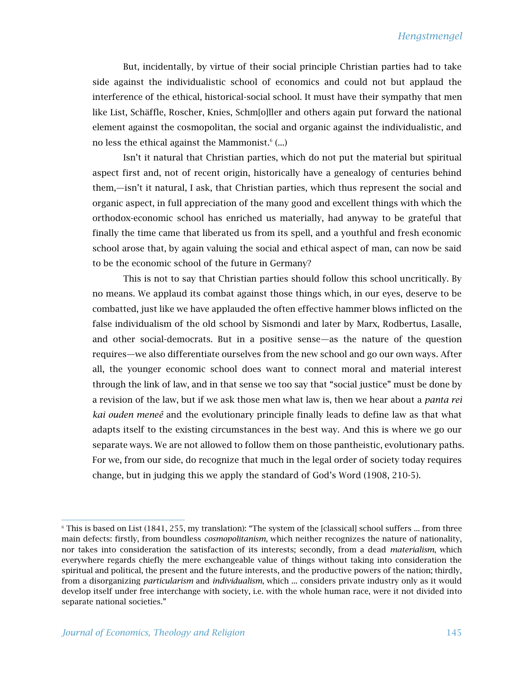But, incidentally, by virtue of their social principle Christian parties had to take side against the individualistic school of economics and could not but applaud the interference of the ethical, historical-social school. It must have their sympathy that men like List, Schäffle, Roscher, Knies, Schm[o]ller and others again put forward the national element against the cosmopolitan, the social and organic against the individualistic, and no less the ethical against the Mammonist.<sup>6</sup> (...)

Isn't it natural that Christian parties, which do not put the material but spiritual aspect first and, not of recent origin, historically have a genealogy of centuries behind them,—isn't it natural, I ask, that Christian parties, which thus represent the social and organic aspect, in full appreciation of the many good and excellent things with which the orthodox-economic school has enriched us materially, had anyway to be grateful that finally the time came that liberated us from its spell, and a youthful and fresh economic school arose that, by again valuing the social and ethical aspect of man, can now be said to be the economic school of the future in Germany?

This is not to say that Christian parties should follow this school uncritically. By no means. We applaud its combat against those things which, in our eyes, deserve to be combatted, just like we have applauded the often effective hammer blows inflicted on the false individualism of the old school by Sismondi and later by Marx, Rodbertus, Lasalle, and other social-democrats. But in a positive sense—as the nature of the question requires—we also differentiate ourselves from the new school and go our own ways. After all, the younger economic school does want to connect moral and material interest through the link of law, and in that sense we too say that "social justice" must be done by a revision of the law, but if we ask those men what law is, then we hear about a *panta reì kai ouden meneê* and the evolutionary principle finally leads to define law as that what adapts itself to the existing circumstances in the best way. And this is where we go our separate ways. We are not allowed to follow them on those pantheistic, evolutionary paths. For we, from our side, do recognize that much in the legal order of society today requires change, but in judging this we apply the standard of God's Word (1908, 210-5).

 $6$  This is based on List (1841, 255, my translation): "The system of the [classical] school suffers ... from three main defects: firstly, from boundless *cosmopolitanism*, which neither recognizes the nature of nationality, nor takes into consideration the satisfaction of its interests; secondly, from a dead *materialism*, which everywhere regards chiefly the mere exchangeable value of things without taking into consideration the spiritual and political, the present and the future interests, and the productive powers of the nation; thirdly, from a disorganizing *particularism* and *individualism*, which ... considers private industry only as it would develop itself under free interchange with society, i.e. with the whole human race, were it not divided into separate national societies."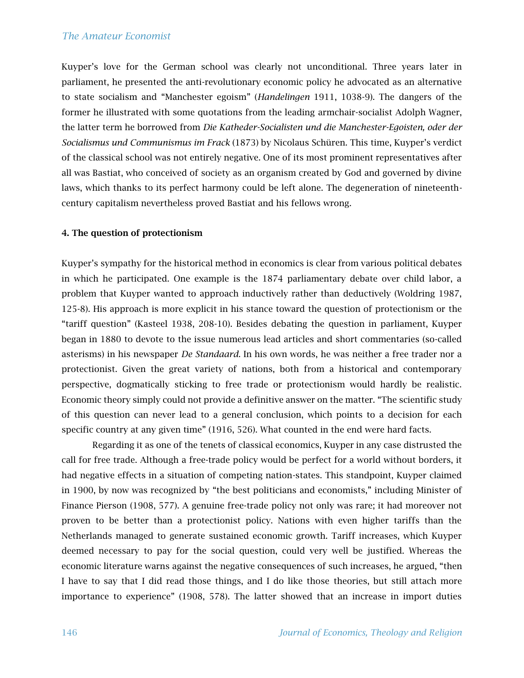Kuyper's love for the German school was clearly not unconditional. Three years later in parliament, he presented the anti-revolutionary economic policy he advocated as an alternative to state socialism and "Manchester egoism" (*Handelingen* 1911, 1038-9). The dangers of the former he illustrated with some quotations from the leading armchair-socialist Adolph Wagner, the latter term he borrowed from *Die Katheder-Socialisten und die Manchester-Egoisten, oder der Socialismus und Communismus im Frack* (1873) by Nicolaus Schüren. This time, Kuyper's verdict of the classical school was not entirely negative. One of its most prominent representatives after all was Bastiat, who conceived of society as an organism created by God and governed by divine laws, which thanks to its perfect harmony could be left alone. The degeneration of nineteenthcentury capitalism nevertheless proved Bastiat and his fellows wrong.

#### 4. The question of protectionism

Kuyper's sympathy for the historical method in economics is clear from various political debates in which he participated. One example is the 1874 parliamentary debate over child labor, a problem that Kuyper wanted to approach inductively rather than deductively (Woldring 1987, 125-8). His approach is more explicit in his stance toward the question of protectionism or the "tariff question" (Kasteel 1938, 208-10). Besides debating the question in parliament, Kuyper began in 1880 to devote to the issue numerous lead articles and short commentaries (so-called asterisms) in his newspaper *De Standaard*. In his own words, he was neither a free trader nor a protectionist. Given the great variety of nations, both from a historical and contemporary perspective, dogmatically sticking to free trade or protectionism would hardly be realistic. Economic theory simply could not provide a definitive answer on the matter. "The scientific study of this question can never lead to a general conclusion, which points to a decision for each specific country at any given time" (1916, 526). What counted in the end were hard facts.

Regarding it as one of the tenets of classical economics, Kuyper in any case distrusted the call for free trade. Although a free-trade policy would be perfect for a world without borders, it had negative effects in a situation of competing nation-states. This standpoint, Kuyper claimed in 1900, by now was recognized by "the best politicians and economists," including Minister of Finance Pierson (1908, 577). A genuine free-trade policy not only was rare; it had moreover not proven to be better than a protectionist policy. Nations with even higher tariffs than the Netherlands managed to generate sustained economic growth. Tariff increases, which Kuyper deemed necessary to pay for the social question, could very well be justified. Whereas the economic literature warns against the negative consequences of such increases, he argued, "then I have to say that I did read those things, and I do like those theories, but still attach more importance to experience" (1908, 578). The latter showed that an increase in import duties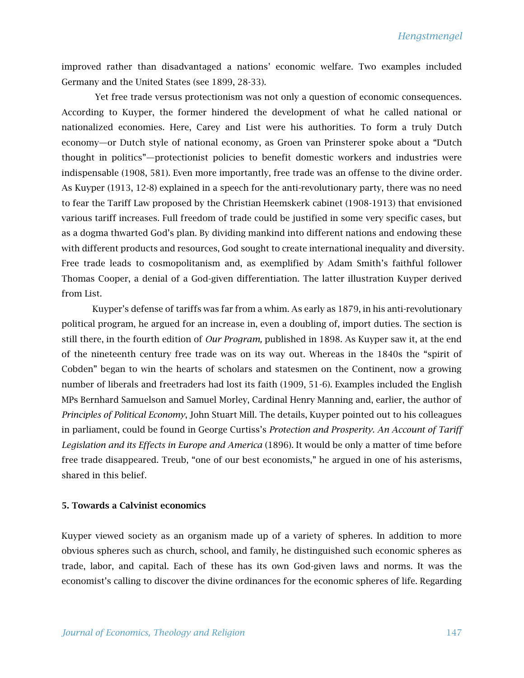improved rather than disadvantaged a nations' economic welfare. Two examples included Germany and the United States (see 1899, 28-33).

Yet free trade versus protectionism was not only a question of economic consequences. According to Kuyper, the former hindered the development of what he called national or nationalized economies. Here, Carey and List were his authorities. To form a truly Dutch economy—or Dutch style of national economy, as Groen van Prinsterer spoke about a "Dutch thought in politics"—protectionist policies to benefit domestic workers and industries were indispensable (1908, 581). Even more importantly, free trade was an offense to the divine order. As Kuyper (1913, 12-8) explained in a speech for the anti-revolutionary party, there was no need to fear the Tariff Law proposed by the Christian Heemskerk cabinet (1908-1913) that envisioned various tariff increases. Full freedom of trade could be justified in some very specific cases, but as a dogma thwarted God's plan. By dividing mankind into different nations and endowing these with different products and resources, God sought to create international inequality and diversity. Free trade leads to cosmopolitanism and, as exemplified by Adam Smith's faithful follower Thomas Cooper, a denial of a God-given differentiation. The latter illustration Kuyper derived from List.

Kuyper's defense of tariffs was far from a whim. As early as 1879, in his anti-revolutionary political program, he argued for an increase in, even a doubling of, import duties. The section is still there, in the fourth edition of *Our Program,* published in 1898. As Kuyper saw it, at the end of the nineteenth century free trade was on its way out. Whereas in the 1840s the "spirit of Cobden" began to win the hearts of scholars and statesmen on the Continent, now a growing number of liberals and freetraders had lost its faith (1909, 51-6). Examples included the English MPs Bernhard Samuelson and Samuel Morley, Cardinal Henry Manning and, earlier, the author of *Principles of Political Economy*, John Stuart Mill. The details, Kuyper pointed out to his colleagues in parliament, could be found in George Curtiss's *Protection and Prosperity. An Account of Tariff Legislation and its Effects in Europe and America* (1896). It would be only a matter of time before free trade disappeared. Treub, "one of our best economists," he argued in one of his asterisms, shared in this belief.

#### 5. Towards a Calvinist economics

Kuyper viewed society as an organism made up of a variety of spheres. In addition to more obvious spheres such as church, school, and family, he distinguished such economic spheres as trade, labor, and capital. Each of these has its own God-given laws and norms. It was the economist's calling to discover the divine ordinances for the economic spheres of life. Regarding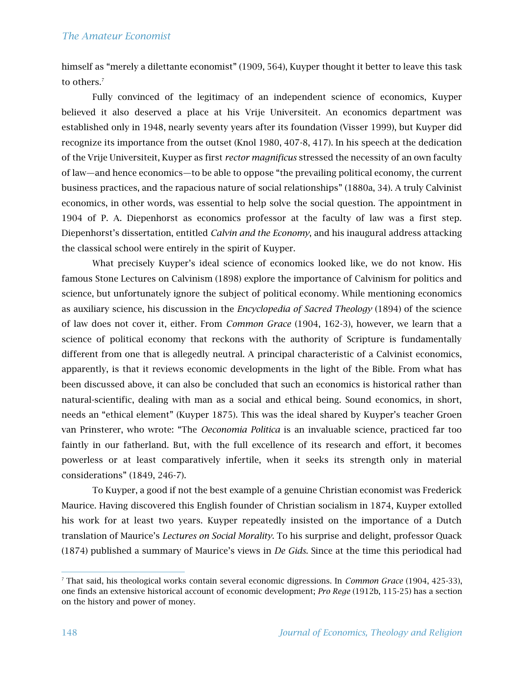himself as "merely a dilettante economist" (1909, 564), Kuyper thought it better to leave this task to others.<sup>7</sup>

Fully convinced of the legitimacy of an independent science of economics, Kuyper believed it also deserved a place at his Vrije Universiteit. An economics department was established only in 1948, nearly seventy years after its foundation (Visser 1999), but Kuyper did recognize its importance from the outset (Knol 1980, 407-8, 417). In his speech at the dedication of the Vrije Universiteit, Kuyper as first *rector magnificus* stressed the necessity of an own faculty of law—and hence economics—to be able to oppose "the prevailing political economy, the current business practices, and the rapacious nature of social relationships" (1880a, 34). A truly Calvinist economics, in other words, was essential to help solve the social question. The appointment in 1904 of P. A. Diepenhorst as economics professor at the faculty of law was a first step. Diepenhorst's dissertation, entitled *Calvin and the Economy*, and his inaugural address attacking the classical school were entirely in the spirit of Kuyper.

What precisely Kuyper's ideal science of economics looked like, we do not know. His famous Stone Lectures on Calvinism (1898) explore the importance of Calvinism for politics and science, but unfortunately ignore the subject of political economy. While mentioning economics as auxiliary science, his discussion in the *Encyclopedia of Sacred Theology* (1894) of the science of law does not cover it, either. From *Common Grace* (1904, 162-3), however, we learn that a science of political economy that reckons with the authority of Scripture is fundamentally different from one that is allegedly neutral. A principal characteristic of a Calvinist economics, apparently, is that it reviews economic developments in the light of the Bible. From what has been discussed above, it can also be concluded that such an economics is historical rather than natural-scientific, dealing with man as a social and ethical being. Sound economics, in short, needs an "ethical element" (Kuyper 1875). This was the ideal shared by Kuyper's teacher Groen van Prinsterer, who wrote: "The *Oeconomia Politica* is an invaluable science, practiced far too faintly in our fatherland. But, with the full excellence of its research and effort, it becomes powerless or at least comparatively infertile, when it seeks its strength only in material considerations" (1849, 246-7).

To Kuyper, a good if not the best example of a genuine Christian economist was Frederick Maurice. Having discovered this English founder of Christian socialism in 1874, Kuyper extolled his work for at least two years. Kuyper repeatedly insisted on the importance of a Dutch translation of Maurice's *Lectures on Social Morality*. To his surprise and delight, professor Quack (1874) published a summary of Maurice's views in *De Gids*. Since at the time this periodical had

<sup>7</sup> That said, his theological works contain several economic digressions. In *Common Grace* (1904, 425-33), one finds an extensive historical account of economic development; *Pro Rege* (1912b, 115-25) has a section on the history and power of money.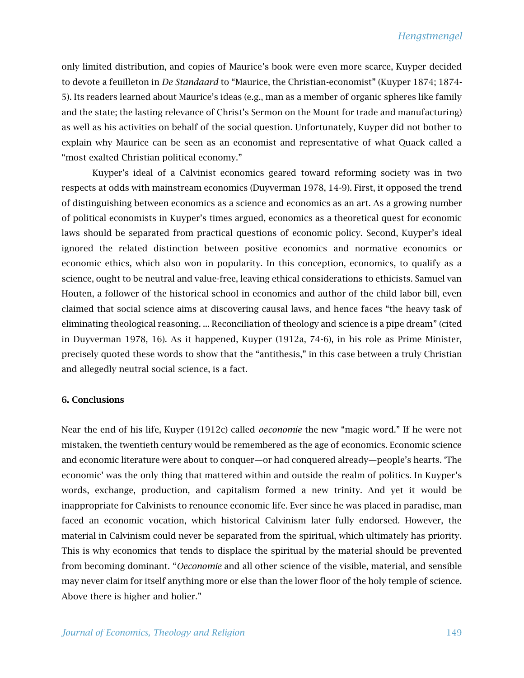only limited distribution, and copies of Maurice's book were even more scarce, Kuyper decided to devote a feuilleton in *De Standaard* to "Maurice, the Christian-economist" (Kuyper 1874; 1874- 5). Its readers learned about Maurice's ideas (e.g., man as a member of organic spheres like family and the state; the lasting relevance of Christ's Sermon on the Mount for trade and manufacturing) as well as his activities on behalf of the social question. Unfortunately, Kuyper did not bother to explain why Maurice can be seen as an economist and representative of what Quack called a "most exalted Christian political economy."

Kuyper's ideal of a Calvinist economics geared toward reforming society was in two respects at odds with mainstream economics (Duyverman 1978, 14-9). First, it opposed the trend of distinguishing between economics as a science and economics as an art. As a growing number of political economists in Kuyper's times argued, economics as a theoretical quest for economic laws should be separated from practical questions of economic policy. Second, Kuyper's ideal ignored the related distinction between positive economics and normative economics or economic ethics, which also won in popularity. In this conception, economics, to qualify as a science, ought to be neutral and value-free, leaving ethical considerations to ethicists. Samuel van Houten, a follower of the historical school in economics and author of the child labor bill, even claimed that social science aims at discovering causal laws, and hence faces "the heavy task of eliminating theological reasoning. ... Reconciliation of theology and science is a pipe dream" (cited in Duyverman 1978, 16). As it happened, Kuyper (1912a, 74-6), in his role as Prime Minister, precisely quoted these words to show that the "antithesis," in this case between a truly Christian and allegedly neutral social science, is a fact.

#### 6. Conclusions

Near the end of his life, Kuyper (1912c) called *oeconomie* the new "magic word." If he were not mistaken, the twentieth century would be remembered as the age of economics. Economic science and economic literature were about to conquer—or had conquered already—people's hearts. 'The economic' was the only thing that mattered within and outside the realm of politics. In Kuyper's words, exchange, production, and capitalism formed a new trinity. And yet it would be inappropriate for Calvinists to renounce economic life. Ever since he was placed in paradise, man faced an economic vocation, which historical Calvinism later fully endorsed. However, the material in Calvinism could never be separated from the spiritual, which ultimately has priority. This is why economics that tends to displace the spiritual by the material should be prevented from becoming dominant. "*Oeconomie* and all other science of the visible, material, and sensible may never claim for itself anything more or else than the lower floor of the holy temple of science. Above there is higher and holier."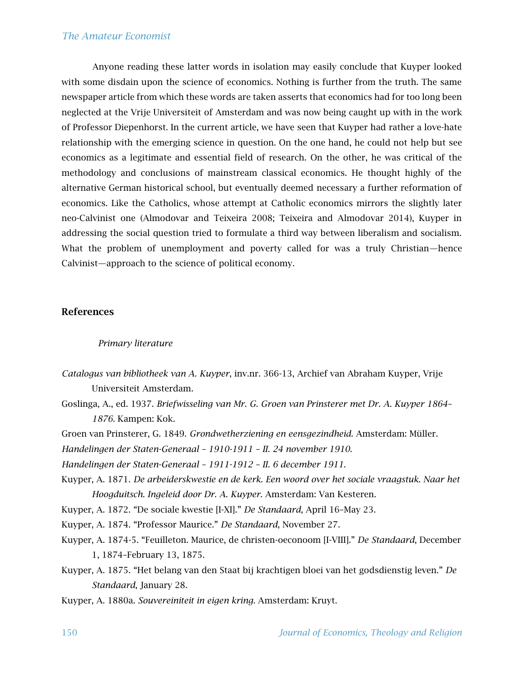Anyone reading these latter words in isolation may easily conclude that Kuyper looked with some disdain upon the science of economics. Nothing is further from the truth. The same newspaper article from which these words are taken asserts that economics had for too long been neglected at the Vrije Universiteit of Amsterdam and was now being caught up with in the work of Professor Diepenhorst. In the current article, we have seen that Kuyper had rather a love-hate relationship with the emerging science in question. On the one hand, he could not help but see economics as a legitimate and essential field of research. On the other, he was critical of the methodology and conclusions of mainstream classical economics. He thought highly of the alternative German historical school, but eventually deemed necessary a further reformation of economics. Like the Catholics, whose attempt at Catholic economics mirrors the slightly later neo-Calvinist one (Almodovar and Teixeira 2008; Teixeira and Almodovar 2014), Kuyper in addressing the social question tried to formulate a third way between liberalism and socialism. What the problem of unemployment and poverty called for was a truly Christian—hence Calvinist—approach to the science of political economy.

#### References

#### *Primary literature*

- *Catalogus van bibliotheek van A. Kuyper*, inv.nr. 366-13, Archief van Abraham Kuyper, Vrije Universiteit Amsterdam.
- Goslinga, A., ed. 1937. *Briefwisseling van Mr. G. Groen van Prinsterer met Dr. A. Kuyper 1864 1876.* Kampen: Kok.
- Groen van Prinsterer, G. 1849. *Grondwetherziening en eensgezindheid*. Amsterdam: Müller.

*Handelingen der Staten-Generaal – 1910-1911 – II. 24 november 1910*.

*Handelingen der Staten-Generaal – 1911-1912 – II. 6 december 1911*.

Kuyper, A. 1871. *De arbeiderskwestie en de kerk. Een woord over het sociale vraagstuk. Naar het Hoogduitsch. Ingeleid door Dr. A. Kuyper*. Amsterdam: Van Kesteren.

Kuyper, A. 1872. "De sociale kwestie [I-XI]." *De Standaard*, April 16–May 23.

Kuyper, A. 1874. "Professor Maurice." *De Standaard*, November 27.

- Kuyper, A. 1874-5. "Feuilleton. Maurice, de christen-oeconoom [I-VIII]." *De Standaard*, December 1, 1874–February 13, 1875.
- Kuyper, A. 1875. "Het belang van den Staat bij krachtigen bloei van het godsdienstig leven." *De Standaard*, January 28.

Kuyper, A. 1880a. *Souvereiniteit in eigen kring.* Amsterdam: Kruyt.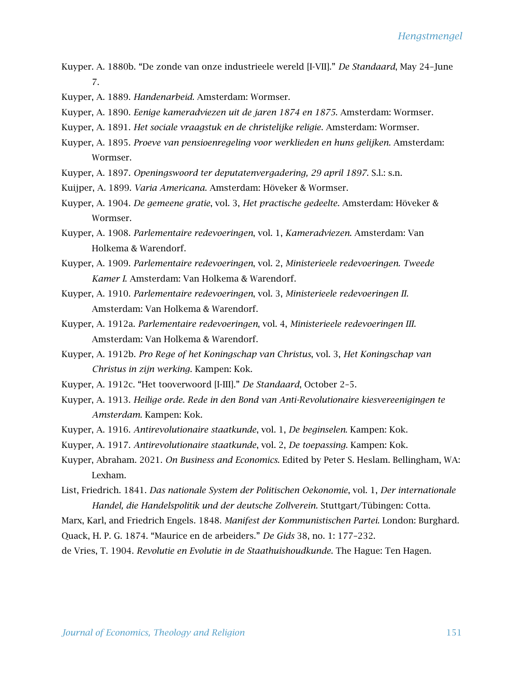- Kuyper. A. 1880b. "De zonde van onze industrieele wereld [I-VII]." *De Standaard*, May 24–June 7.
- Kuyper, A. 1889. *Handenarbeid.* Amsterdam: Wormser.
- Kuyper, A. 1890. *Eenige kameradviezen uit de jaren 1874 en 1875*. Amsterdam: Wormser.
- Kuyper, A. 1891. *Het sociale vraagstuk en de christelijke religie*. Amsterdam: Wormser.
- Kuyper, A. 1895. *Proeve van pensioenregeling voor werklieden en huns gelijken*. Amsterdam: Wormser.
- Kuyper, A. 1897. *Openingswoord ter deputatenvergadering, 29 april 1897*. S.l.: s.n.
- Kuijper, A. 1899. *Varia Americana*. Amsterdam: Höveker & Wormser.
- Kuyper, A. 1904. *De gemeene gratie*, vol. 3, *Het practische gedeelte.* Amsterdam: Höveker & Wormser.
- Kuyper, A. 1908. *Parlementaire redevoeringen*, vol. 1, *Kameradviezen*. Amsterdam: Van Holkema & Warendorf.
- Kuyper, A. 1909. *Parlementaire redevoeringen*, vol. 2, *Ministerieele redevoeringen. Tweede Kamer I*. Amsterdam: Van Holkema & Warendorf.
- Kuyper, A. 1910. *Parlementaire redevoeringen*, vol. 3, *Ministerieele redevoeringen II*. Amsterdam: Van Holkema & Warendorf.
- Kuyper, A. 1912a. *Parlementaire redevoeringen*, vol. 4, *Ministerieele redevoeringen III*. Amsterdam: Van Holkema & Warendorf.
- Kuyper, A. 1912b. *Pro Rege of het Koningschap van Christus*, vol. 3, *Het Koningschap van Christus in zijn werking*. Kampen: Kok.
- Kuyper, A. 1912c. "Het tooverwoord [I-III]." *De Standaard*, October 2–5.
- Kuyper, A. 1913. *Heilige orde. Rede in den Bond van Anti-Revolutionaire kiesvereenigingen te Amsterdam*. Kampen: Kok.
- Kuyper, A. 1916. *Antirevolutionaire staatkunde*, vol. 1, *De beginselen*. Kampen: Kok.
- Kuyper, A. 1917. *Antirevolutionaire staatkunde*, vol. 2, *De toepassing*. Kampen: Kok.
- Kuyper, Abraham. 2021. *On Business and Economics*. Edited by Peter S. Heslam. Bellingham, WA: Lexham.
- List, Friedrich. 1841. *Das nationale System der Politischen Oekonomie*, vol. 1, *Der internationale Handel, die Handelspolitik und der deutsche Zollverein*. Stuttgart/Tübingen: Cotta.
- Marx, Karl, and Friedrich Engels. 1848. *Manifest der Kommunistischen Partei*. London: Burghard. Quack, H. P. G. 1874. "Maurice en de arbeiders." *De Gids* 38, no. 1: 177–232.

de Vries, T. 1904. *Revolutie en Evolutie in de Staathuishoudkunde*. The Hague: Ten Hagen.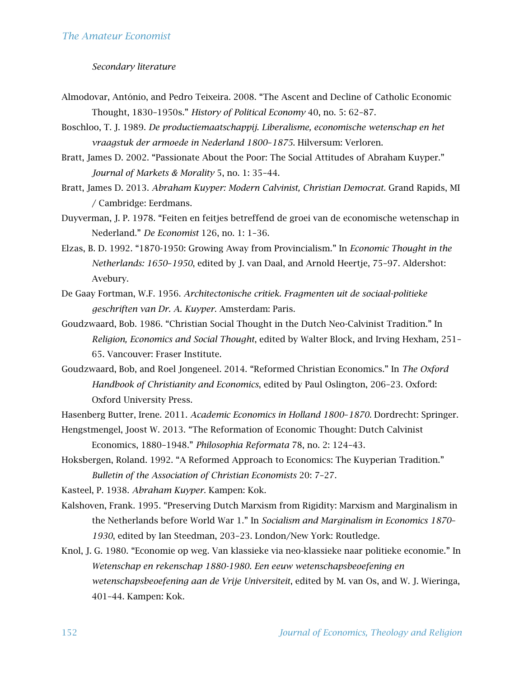#### *Secondary literature*

- Almodovar, António, and Pedro Teixeira. 2008. "The Ascent and Decline of Catholic Economic Thought, 1830–1950s." *History of Political Economy* 40, no. 5: 62–87.
- Boschloo, T. J. 1989. *De productiemaatschappij. Liberalisme, economische wetenschap en het vraagstuk der armoede in Nederland 1800*–*1875*. Hilversum: Verloren.
- Bratt, James D. 2002. "Passionate About the Poor: The Social Attitudes of Abraham Kuyper." *Journal of Markets & Morality* 5, no. 1: 35–44.
- Bratt, James D. 2013. *Abraham Kuyper: Modern Calvinist, Christian Democrat.* Grand Rapids, MI / Cambridge: Eerdmans.
- Duyverman, J. P. 1978. "Feiten en feitjes betreffend de groei van de economische wetenschap in Nederland." *De Economist* 126, no. 1: 1–36.
- Elzas, B. D. 1992. "1870-1950: Growing Away from Provincialism." In *Economic Thought in the Netherlands: 1650*–*1950*, edited by J. van Daal, and Arnold Heertje, 75–97. Aldershot: Avebury.
- De Gaay Fortman, W.F. 1956. *Architectonische critiek. Fragmenten uit de sociaal-politieke geschriften van Dr. A. Kuyper*. Amsterdam: Paris.
- Goudzwaard, Bob. 1986. "Christian Social Thought in the Dutch Neo-Calvinist Tradition." In *Religion, Economics and Social Thought*, edited by Walter Block, and Irving Hexham, 251– 65. Vancouver: Fraser Institute.
- Goudzwaard, Bob, and Roel Jongeneel. 2014. "Reformed Christian Economics." In *The Oxford Handbook of Christianity and Economics*, edited by Paul Oslington, 206–23. Oxford: Oxford University Press.

Hasenberg Butter, Irene. 2011. *Academic Economics in Holland 1800*–*1870.* Dordrecht: Springer.

- Hengstmengel, Joost W. 2013. "The Reformation of Economic Thought: Dutch Calvinist Economics, 1880–1948." *Philosophia Reformata* 78, no. 2: 124–43.
- Hoksbergen, Roland. 1992. "A Reformed Approach to Economics: The Kuyperian Tradition." *Bulletin of the Association of Christian Economists* 20: 7–27.

Kasteel, P. 1938. *Abraham Kuyper.* Kampen: Kok.

- Kalshoven, Frank. 1995. "Preserving Dutch Marxism from Rigidity: Marxism and Marginalism in the Netherlands before World War 1." In *Socialism and Marginalism in Economics 1870*– *1930*, edited by Ian Steedman, 203–23. London/New York: Routledge.
- Knol, J. G. 1980. "Economie op weg. Van klassieke via neo-klassieke naar politieke economie." In *Wetenschap en rekenschap 1880-1980. Een eeuw wetenschapsbeoefening en wetenschapsbeoefening aan de Vrije Universiteit*, edited by M. van Os, and W. J. Wieringa, 401–44. Kampen: Kok.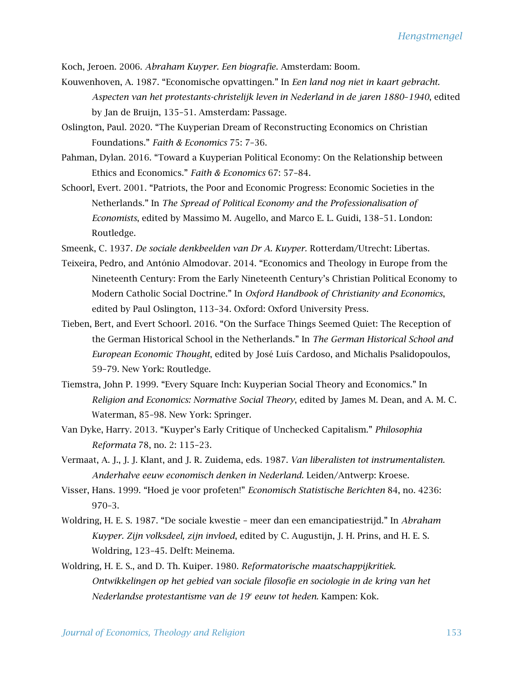Koch, Jeroen. 2006. *Abraham Kuyper. Een biografie*. Amsterdam: Boom.

- Kouwenhoven, A. 1987. "Economische opvattingen." In *Een land nog niet in kaart gebracht. Aspecten van het protestants-christelijk leven in Nederland in de jaren 1880*–*1940*, edited by Jan de Bruijn, 135–51. Amsterdam: Passage.
- Oslington, Paul. 2020. "The Kuyperian Dream of Reconstructing Economics on Christian Foundations." *Faith & Economics* 75: 7–36.
- Pahman, Dylan. 2016. "Toward a Kuyperian Political Economy: On the Relationship between Ethics and Economics." *Faith & Economics* 67: 57–84.
- Schoorl, Evert. 2001. "Patriots, the Poor and Economic Progress: Economic Societies in the Netherlands." In *The Spread of Political Economy and the Professionalisation of Economists*, edited by Massimo M. Augello, and Marco E. L. Guidi, 138–51. London: Routledge.
- Smeenk, C. 1937. *De sociale denkbeelden van Dr A. Kuyper.* Rotterdam/Utrecht: Libertas.
- Teixeira, Pedro, and António Almodovar. 2014. "Economics and Theology in Europe from the Nineteenth Century: From the Early Nineteenth Century's Christian Political Economy to Modern Catholic Social Doctrine." In *Oxford Handbook of Christianity and Economics*, edited by Paul Oslington, 113–34. Oxford: Oxford University Press.
- Tieben, Bert, and Evert Schoorl. 2016. "On the Surface Things Seemed Quiet: The Reception of the German Historical School in the Netherlands." In *The German Historical School and European Economic Thought*, edited by José Luís Cardoso, and Michalis Psalidopoulos, 59–79*.* New York: Routledge.
- Tiemstra, John P. 1999. "Every Square Inch: Kuyperian Social Theory and Economics." In *Religion and Economics: Normative Social Theory*, edited by James M. Dean, and A. M. C. Waterman, 85–98. New York: Springer.
- Van Dyke, Harry. 2013. "Kuyper's Early Critique of Unchecked Capitalism." *Philosophia Reformata* 78, no. 2: 115–23.
- Vermaat, A. J., J. J. Klant, and J. R. Zuidema, eds. 1987. *Van liberalisten tot instrumentalisten. Anderhalve eeuw economisch denken in Nederland.* Leiden/Antwerp: Kroese.
- Visser, Hans. 1999. "Hoed je voor profeten!" *Economisch Statistische Berichten* 84, no. 4236: 970–3.
- Woldring, H. E. S. 1987. "De sociale kwestie meer dan een emancipatiestrijd." In *Abraham Kuyper. Zijn volksdeel, zijn invloed*, edited by C. Augustijn, J. H. Prins, and H. E. S. Woldring, 123–45. Delft: Meinema.
- Woldring, H. E. S., and D. Th. Kuiper. 1980. *Reformatorische maatschappijkritiek. Ontwikkelingen op het gebied van sociale filosofie en sociologie in de kring van het Nederlandse protestantisme van de 19<sup>e</sup> eeuw tot heden.* Kampen: Kok.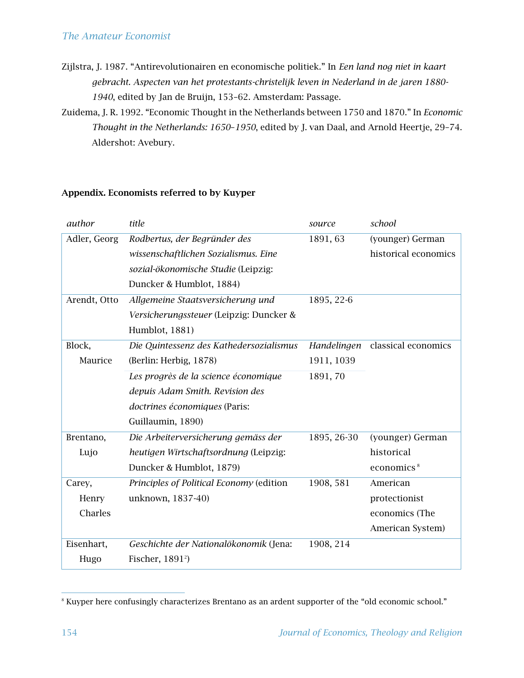- Zijlstra, J. 1987. "Antirevolutionairen en economische politiek." In *Een land nog niet in kaart gebracht. Aspecten van het protestants-christelijk leven in Nederland in de jaren 1880- 1940*, edited by Jan de Bruijn, 153–62. Amsterdam: Passage.
- Zuidema, J. R. 1992. "Economic Thought in the Netherlands between 1750 and 1870." In *Economic Thought in the Netherlands: 1650*–*1950*, edited by J. van Daal, and Arnold Heertje, 29–74. Aldershot: Avebury.

#### *author title source school* Adler, Georg *Rodbertus, der Begründer des wissenschaftlichen Sozialismus. Eine sozial-ökonomische Studie* (Leipzig: Duncker & Humblot, 1884) 1891, 63 (younger) German historical economics Arendt, Otto *Allgemeine Staatsversicherung und Versicherungssteuer* (Leipzig: Duncker & Humblot, 1881) 1895, 22-6 Block, Maurice *Die Quintessenz des Kathedersozialismus* (Berlin: Herbig, 1878) *Handelingen*  classical economics 1911, 1039 *Les progrès de la science économique depuis Adam Smith. Revision des doctrines économiques* (Paris: Guillaumin, 1890) 1891, 70 Brentano, Lujo *Die Arbeiterversicherung gemäss der heutigen Wirtschaftsordnung* (Leipzig: Duncker & Humblot, 1879) 1895, 26-30 (younger) German historical economics<sup>8</sup> Carey, Henry Charles *Principles of Political Economy* (edition unknown, 1837-40) 1908, 581 American protectionist economics (The American System) Eisenhart, Hugo *Geschichte der Nationalökonomik* (Jena: Fischer, 1891<sup>2</sup> ) 1908, 214

#### Appendix. Economists referred to by Kuyper

<sup>8</sup> Kuyper here confusingly characterizes Brentano as an ardent supporter of the "old economic school."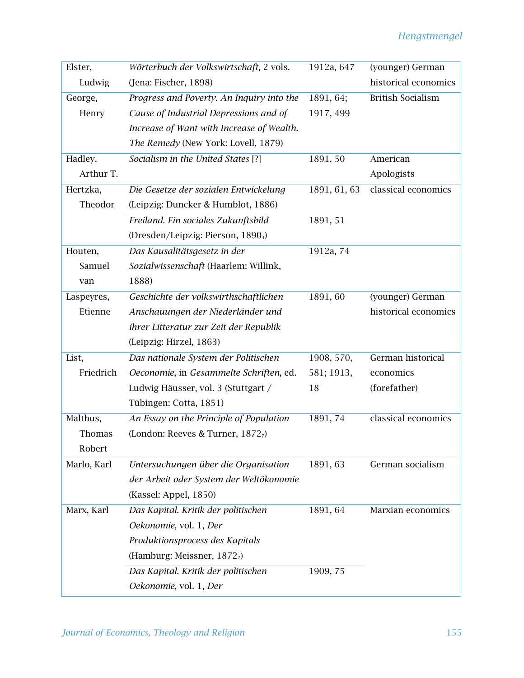| Elster,     | Wörterbuch der Volkswirtschaft, 2 vols.   | 1912a, 647   | (younger) German         |
|-------------|-------------------------------------------|--------------|--------------------------|
| Ludwig      | (Jena: Fischer, 1898)                     |              | historical economics     |
| George,     | Progress and Poverty. An Inquiry into the | 1891, 64;    | <b>British Socialism</b> |
| Henry       | Cause of Industrial Depressions and of    | 1917, 499    |                          |
|             | Increase of Want with Increase of Wealth. |              |                          |
|             | The Remedy (New York: Lovell, 1879)       |              |                          |
| Hadley,     | Socialism in the United States [?]        | 1891, 50     | American                 |
| Arthur T.   |                                           |              | Apologists               |
| Hertzka,    | Die Gesetze der sozialen Entwickelung     | 1891, 61, 63 | classical economics      |
| Theodor     | (Leipzig: Duncker & Humblot, 1886)        |              |                          |
|             | Freiland. Ein sociales Zukunftsbild       | 1891, 51     |                          |
|             | (Dresden/Leipzig: Pierson, 18904)         |              |                          |
| Houten,     | Das Kausalitätsgesetz in der              | 1912a, 74    |                          |
| Samuel      | Sozialwissenschaft (Haarlem: Willink,     |              |                          |
| van         | 1888)                                     |              |                          |
| Laspeyres,  | Geschichte der volkswirthschaftlichen     | 1891, 60     | (younger) German         |
| Etienne     | Anschauungen der Niederländer und         |              | historical economics     |
|             | ihrer Litteratur zur Zeit der Republik    |              |                          |
|             | (Leipzig: Hirzel, 1863)                   |              |                          |
| List,       | Das nationale System der Politischen      | 1908, 570,   | German historical        |
| Friedrich   | Oeconomie, in Gesammelte Schriften, ed.   | 581; 1913,   | economics                |
|             | Ludwig Häusser, vol. 3 (Stuttgart /       | 18           | (forefather)             |
|             | Tübingen: Cotta, 1851)                    |              |                          |
| Malthus,    | An Essay on the Principle of Population   | 1891, 74     | classical economics      |
| Thomas      | (London: Reeves & Turner, 18727)          |              |                          |
| Robert      |                                           |              |                          |
| Marlo, Karl | Untersuchungen über die Organisation      | 1891, 63     | German socialism         |
|             | der Arbeit oder System der Weltökonomie   |              |                          |
|             | (Kassel: Appel, 1850)                     |              |                          |
| Marx, Karl  | Das Kapital. Kritik der politischen       | 1891, 64     | Marxian economics        |
|             | Oekonomie, vol. 1, Der                    |              |                          |
|             | Produktionsprocess des Kapitals           |              |                          |
|             | (Hamburg: Meissner, 1872 <sub>2</sub> )   |              |                          |
|             | Das Kapital. Kritik der politischen       | 1909, 75     |                          |
|             | Oekonomie, vol. 1, Der                    |              |                          |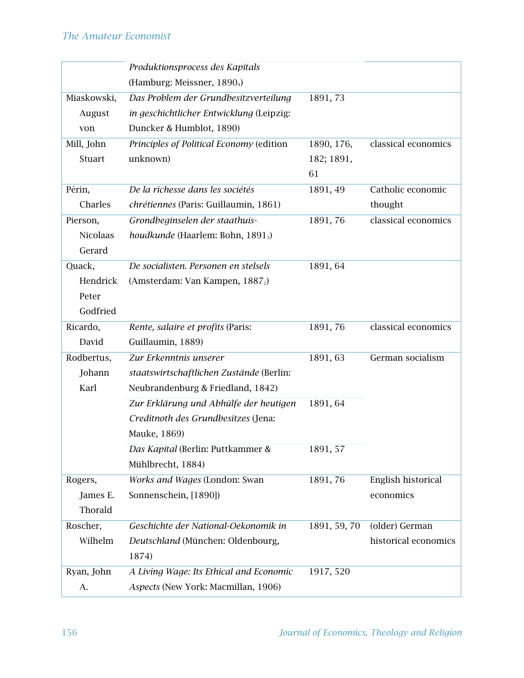|                 | Produktionsprocess des Kapitals               |              |                      |
|-----------------|-----------------------------------------------|--------------|----------------------|
|                 | (Hamburg: Meissner, 18904)                    |              |                      |
| Miaskowski,     | Das Problem der Grundbesitzverteilung         | 1891, 73     |                      |
| August          | in geschichtlicher Entwicklung (Leipzig:      |              |                      |
| von             | Duncker & Humblot, 1890)                      |              |                      |
| Mill, John      | Principles of Political Economy (edition      | 1890, 176,   | classical economics  |
| Stuart          | unknown)                                      | 182; 1891,   |                      |
|                 |                                               | 61           |                      |
| Périn,          | De la richesse dans les sociétés              | 1891, 49     | Catholic economic    |
| Charles         | chrétiennes (Paris: Guillaumin, 1861)         |              | thought              |
| Pierson,        | Grondbeginselen der staathuis-                | 1891, 76     | classical economics  |
| <b>Nicolaas</b> | houdkunde (Haarlem: Bohn, 1891 <sub>3</sub> ) |              |                      |
| Gerard          |                                               |              |                      |
| Quack,          | De socialisten. Personen en stelsels          | 1891, 64     |                      |
| Hendrick        | (Amsterdam: Van Kampen, 1887 <sub>2</sub> )   |              |                      |
| Peter           |                                               |              |                      |
| Godfried        |                                               |              |                      |
| Ricardo,        | Rente, salaire et profits (Paris:             | 1891, 76     | classical economics  |
| David           | Guillaumin, 1889)                             |              |                      |
| Rodbertus,      | Zur Erkenntnis unserer                        | 1891, 63     | German socialism     |
| Johann          | staatswirtschaftlichen Zustände (Berlin:      |              |                      |
| Karl            | Neubrandenburg & Friedland, 1842)             |              |                      |
|                 | Zur Erklärung und Abhülfe der heutigen        | 1891, 64     |                      |
|                 | Creditnoth des Grundbesitzes (Jena:           |              |                      |
|                 | Mauke, 1869)                                  |              |                      |
|                 | Das Kapital (Berlin: Puttkammer &             | 1891, 57     |                      |
|                 | Mühlbrecht, 1884)                             |              |                      |
| Rogers,         | Works and Wages (London: Swan                 | 1891, 76     | English historical   |
| James E.        | Sonnenschein, [1890])                         |              | economics            |
| Thorald         |                                               |              |                      |
| Roscher,        | Geschichte der National-Oekonomik in          | 1891, 59, 70 | (older) German       |
| Wilhelm         | Deutschland (München: Oldenbourg,             |              | historical economics |
|                 | 1874)                                         |              |                      |
| Ryan, John      | A Living Wage: Its Ethical and Economic       | 1917, 520    |                      |
| А.              | Aspects (New York: Macmillan, 1906)           |              |                      |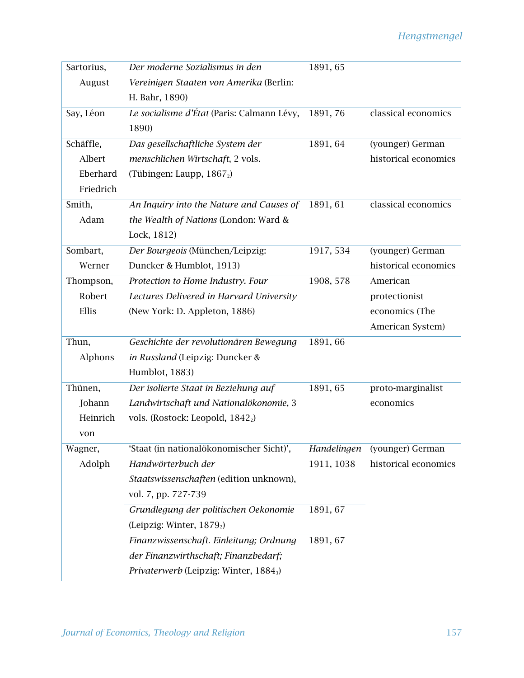| Sartorius, | Der moderne Sozialismus in den                     | 1891, 65    |                      |
|------------|----------------------------------------------------|-------------|----------------------|
| August     | Vereinigen Staaten von Amerika (Berlin:            |             |                      |
|            | H. Bahr, 1890)                                     |             |                      |
| Say, Léon  | Le socialisme d'État (Paris: Calmann Lévy,         | 1891, 76    | classical economics  |
|            | 1890)                                              |             |                      |
| Schäffle,  | Das gesellschaftliche System der                   | 1891, 64    | (younger) German     |
| Albert     | menschlichen Wirtschaft, 2 vols.                   |             | historical economics |
| Eberhard   | (Tübingen: Laupp, 18672)                           |             |                      |
| Friedrich  |                                                    |             |                      |
| Smith,     | An Inquiry into the Nature and Causes of           | 1891, 61    | classical economics  |
| Adam       | the Wealth of Nations (London: Ward &              |             |                      |
|            | Lock, 1812)                                        |             |                      |
| Sombart,   | Der Bourgeois (München/Leipzig:                    | 1917, 534   | (younger) German     |
| Werner     | Duncker & Humblot, 1913)                           |             | historical economics |
| Thompson,  | Protection to Home Industry. Four                  | 1908, 578   | American             |
| Robert     | Lectures Delivered in Harvard University           |             | protectionist        |
| Ellis      | (New York: D. Appleton, 1886)                      |             | economics (The       |
|            |                                                    |             | American System)     |
| Thun,      | Geschichte der revolutionären Bewegung             | 1891,66     |                      |
| Alphons    | in Russland (Leipzig: Duncker &                    |             |                      |
|            | Humblot, 1883)                                     |             |                      |
| Thünen,    | Der isolierte Staat in Beziehung auf               | 1891, 65    | proto-marginalist    |
| Johann     | Landwirtschaft und Nationalökonomie, 3             |             | economics            |
| Heinrich   | vols. (Rostock: Leopold, 1842 <sub>2</sub> )       |             |                      |
| von        |                                                    |             |                      |
| Wagner,    | 'Staat (in nationalökonomischer Sicht)',           | Handelingen | (younger) German     |
| Adolph     | Handwörterbuch der                                 | 1911, 1038  | historical economics |
|            | Staatswissenschaften (edition unknown),            |             |                      |
|            | vol. 7, pp. 727-739                                |             |                      |
|            | Grundlegung der politischen Oekonomie              | 1891, 67    |                      |
|            | (Leipzig: Winter, 1879 <sub>2</sub> )              |             |                      |
|            | Finanzwissenschaft. Einleitung; Ordnung            | 1891, 67    |                      |
|            | der Finanzwirthschaft; Finanzbedarf;               |             |                      |
|            | Privaterwerb (Leipzig: Winter, 1884 <sub>3</sub> ) |             |                      |
|            |                                                    |             |                      |